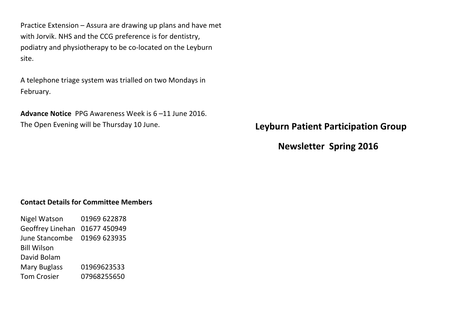Practice Extension  $-$  Assura are drawing up plans and have met with Jorvik. NHS and the CCG preference is for dentistry, podiatry and physiotherapy to be co-located on the Leyburn site.

A telephone triage system was trialled on two Mondays in February.

**Advance Notice** PPG Awareness Week is 6-11 June 2016. The Open Evening will be Thursday 10 June.

**Leyburn Patient Participation Group** 

**Newsletter Spring 2016** 

#### **Contact Details for Committee Members**

Nigel Watson 01969 622878 Geoffrey Linehan 01677 450949 June Stancombe 01969 623935 **Bill Wilson** David Bolam Mary Buglass 01969623533 Tom Crosier 07968255650